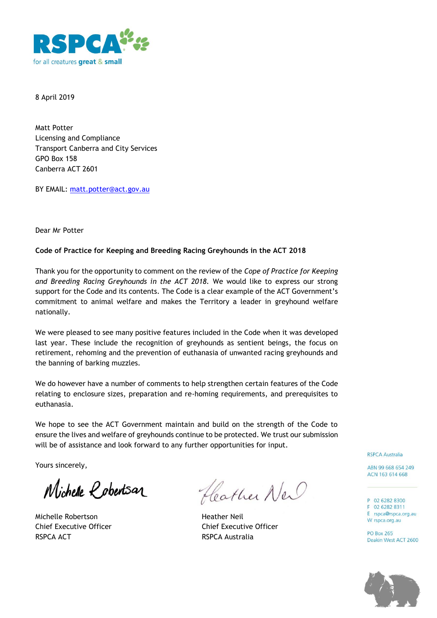

8 April 2019

Matt Potter Licensing and Compliance Transport Canberra and City Services GPO Box 158 Canberra ACT 2601

BY EMAIL: matt.potter@act.gov.au

Dear Mr Potter

## **Code of Practice for Keeping and Breeding Racing Greyhounds in the ACT 2018**

Thank you for the opportunity to comment on the review of the *Cope of Practice for Keeping and Breeding Racing Greyhounds in the ACT 2018.* We would like to express our strong support for the Code and its contents. The Code is a clear example of the ACT Government's commitment to animal welfare and makes the Territory a leader in greyhound welfare nationally.

We were pleased to see many positive features included in the Code when it was developed last year. These include the recognition of greyhounds as sentient beings, the focus on retirement, rehoming and the prevention of euthanasia of unwanted racing greyhounds and the banning of barking muzzles.

We do however have a number of comments to help strengthen certain features of the Code relating to enclosure sizes, preparation and re-homing requirements, and prerequisites to euthanasia.

We hope to see the ACT Government maintain and build on the strength of the Code to ensure the lives and welfare of greyhounds continue to be protected. We trust our submission will be of assistance and look forward to any further opportunities for input.

Yours sincerely,

Michelle *Lobertsan* 

Michelle Robertson **Heather Neil** Chief Executive Officer Chief Executive Officer RSPCA ACT RSPCA Australia

Heather New

**RSPCA Australia** 

ABN 99 668 654 249 ACN 163 614 668

P 02 6282 8300 F 02 6282 8311 E rspca@rspca.org.au W rspca.org.au

**PO Box 265** Deakin West ACT 2600